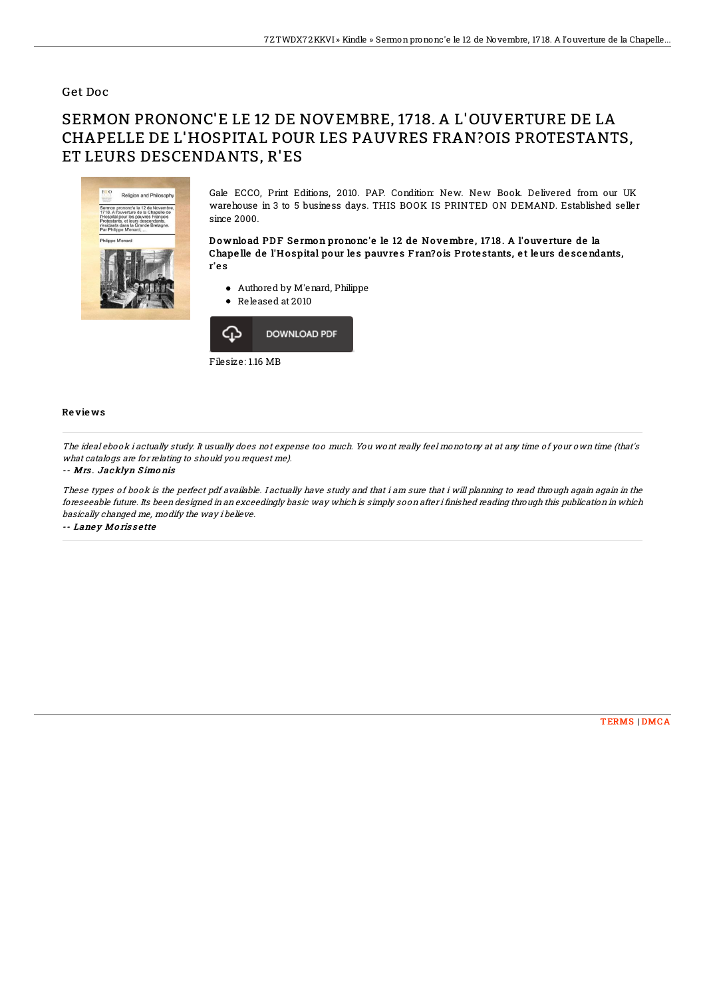### Get Doc

# SERMON PRONONC'E LE 12 DE NOVEMBRE, 1718. A L'OUVERTURE DE LA CHAPELLE DE L'HOSPITAL POUR LES PAUVRES FRAN?OIS PROTESTANTS, ET LEURS DESCENDANTS, R'ES



Gale ECCO, Print Editions, 2010. PAP. Condition: New. New Book. Delivered from our UK warehouse in 3 to 5 business days. THIS BOOK IS PRINTED ON DEMAND. Established seller since 2000.

Download PDF Sermon prononc'e le 12 de Novembre, 1718. A l'ouverture de la Chape lle de l'Hospital pour les pauvres Fran? ois Protestants, et leurs descendants, r'e s

- Authored by M'enard, Philippe
- Released at 2010



#### Re vie ws

The ideal ebook i actually study. It usually does not expense too much. You wont really feel monotony at at any time of your own time (that's what catalogs are for relating to should you request me).

#### -- Mrs . Jacklyn S imo nis

These types of book is the perfect pdf available. I actually have study and that i am sure that i will planning to read through again again in the foreseeable future. Its been designed in an exceedingly basic way which is simply soon after i finished reading through this publication in which basically changed me, modify the way i believe.

-- Laney Morissette